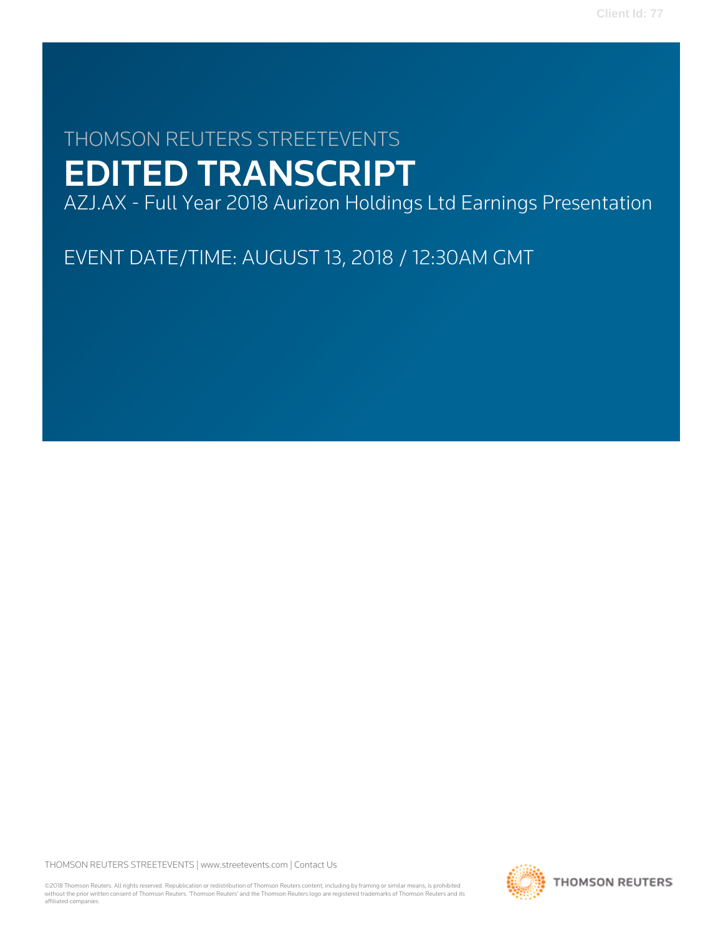# THOMSON REUTERS STREETEVENTS EDITED TRANSCRIPT

AZJ.AX - Full Year 2018 Aurizon Holdings Ltd Earnings Presentation

EVENT DATE/TIME: AUGUST 13, 2018 / 12:30AM GMT

THOMSON REUTERS STREETEVENTS | [www.streetevents.com](http://www.streetevents.com) | [Contact Us](http://www010.streetevents.com/contact.asp)

©2018 Thomson Reuters. All rights reserved. Republication or redistribution of Thomson Reuters content, including by framing or similar means, is prohibited without the prior written consent of Thomson Reuters. 'Thomson Reuters' and the Thomson Reuters logo are registered trademarks of Thomson Reuters and its affiliated companies.

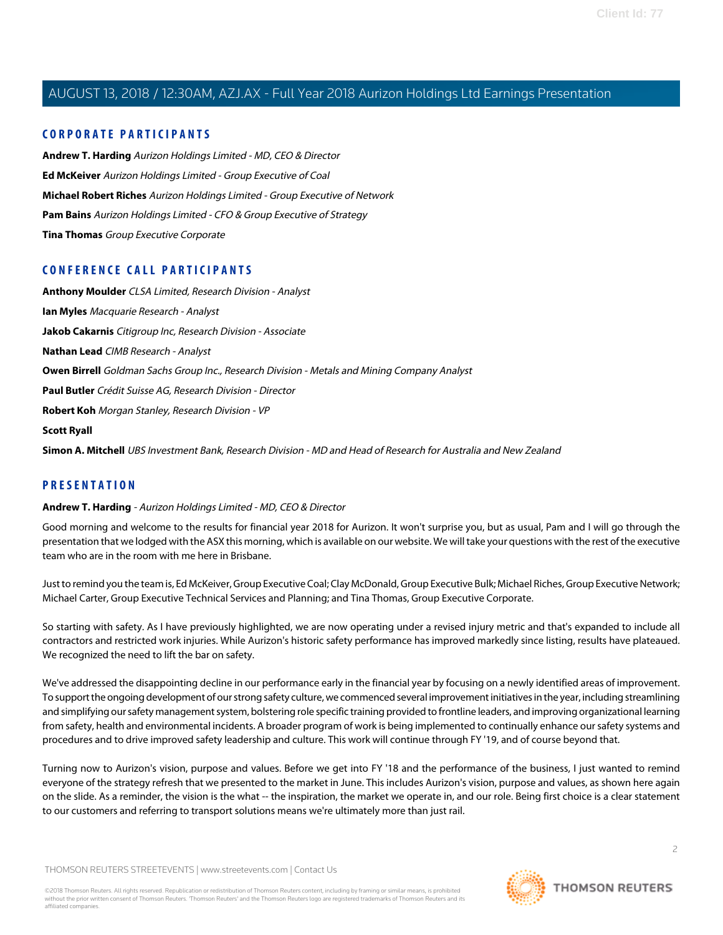### **CORPORATE PARTICIPANTS**

**[Andrew T. Harding](#page-1-0)** Aurizon Holdings Limited - MD, CEO & Director **[Ed McKeiver](#page-9-0)** Aurizon Holdings Limited - Group Executive of Coal **[Michael Robert Riches](#page-11-0)** Aurizon Holdings Limited - Group Executive of Network **[Pam Bains](#page-4-0)** Aurizon Holdings Limited - CFO & Group Executive of Strategy **[Tina Thomas](#page-16-0)** Group Executive Corporate

### **CONFERENCE CALL PARTICIPANTS**

**[Anthony Moulder](#page-9-1)** CLSA Limited, Research Division - Analyst **[Ian Myles](#page-11-1)** Macquarie Research - Analyst **[Jakob Cakarnis](#page-20-0)** Citigroup Inc, Research Division - Associate **[Nathan Lead](#page-21-0)** CIMB Research - Analyst **[Owen Birrell](#page-18-0)** Goldman Sachs Group Inc., Research Division - Metals and Mining Company Analyst **[Paul Butler](#page-13-0)** Crédit Suisse AG, Research Division - Director **[Robert Koh](#page-19-0)** Morgan Stanley, Research Division - VP **[Scott Ryall](#page-15-0) [Simon A. Mitchell](#page-7-0)** UBS Investment Bank, Research Division - MD and Head of Research for Australia and New Zealand

### <span id="page-1-0"></span>**PRESENTATION**

### **Andrew T. Harding** - Aurizon Holdings Limited - MD, CEO & Director

Good morning and welcome to the results for financial year 2018 for Aurizon. It won't surprise you, but as usual, Pam and I will go through the presentation that we lodged with the ASX this morning, which is available on our website. We will take your questions with the rest of the executive team who are in the room with me here in Brisbane.

Just to remind you the team is, Ed McKeiver, Group Executive Coal; Clay McDonald, Group Executive Bulk; Michael Riches, Group Executive Network; Michael Carter, Group Executive Technical Services and Planning; and Tina Thomas, Group Executive Corporate.

So starting with safety. As I have previously highlighted, we are now operating under a revised injury metric and that's expanded to include all contractors and restricted work injuries. While Aurizon's historic safety performance has improved markedly since listing, results have plateaued. We recognized the need to lift the bar on safety.

We've addressed the disappointing decline in our performance early in the financial year by focusing on a newly identified areas of improvement. To support the ongoing development of our strong safety culture, we commenced several improvement initiatives in the year, including streamlining and simplifying our safety management system, bolstering role specific training provided to frontline leaders, and improving organizational learning from safety, health and environmental incidents. A broader program of work is being implemented to continually enhance our safety systems and procedures and to drive improved safety leadership and culture. This work will continue through FY '19, and of course beyond that.

Turning now to Aurizon's vision, purpose and values. Before we get into FY '18 and the performance of the business, I just wanted to remind everyone of the strategy refresh that we presented to the market in June. This includes Aurizon's vision, purpose and values, as shown here again on the slide. As a reminder, the vision is the what -- the inspiration, the market we operate in, and our role. Being first choice is a clear statement to our customers and referring to transport solutions means we're ultimately more than just rail.

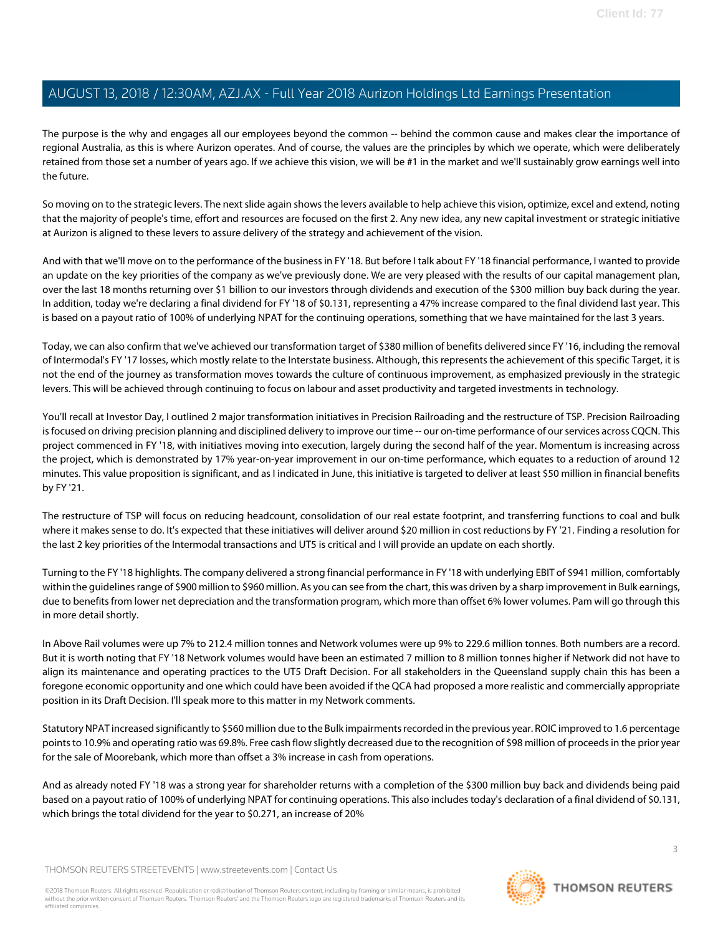The purpose is the why and engages all our employees beyond the common -- behind the common cause and makes clear the importance of regional Australia, as this is where Aurizon operates. And of course, the values are the principles by which we operate, which were deliberately retained from those set a number of years ago. If we achieve this vision, we will be #1 in the market and we'll sustainably grow earnings well into the future.

So moving on to the strategic levers. The next slide again shows the levers available to help achieve this vision, optimize, excel and extend, noting that the majority of people's time, effort and resources are focused on the first 2. Any new idea, any new capital investment or strategic initiative at Aurizon is aligned to these levers to assure delivery of the strategy and achievement of the vision.

And with that we'll move on to the performance of the business in FY '18. But before I talk about FY '18 financial performance, I wanted to provide an update on the key priorities of the company as we've previously done. We are very pleased with the results of our capital management plan, over the last 18 months returning over \$1 billion to our investors through dividends and execution of the \$300 million buy back during the year. In addition, today we're declaring a final dividend for FY '18 of \$0.131, representing a 47% increase compared to the final dividend last year. This is based on a payout ratio of 100% of underlying NPAT for the continuing operations, something that we have maintained for the last 3 years.

Today, we can also confirm that we've achieved our transformation target of \$380 million of benefits delivered since FY '16, including the removal of Intermodal's FY '17 losses, which mostly relate to the Interstate business. Although, this represents the achievement of this specific Target, it is not the end of the journey as transformation moves towards the culture of continuous improvement, as emphasized previously in the strategic levers. This will be achieved through continuing to focus on labour and asset productivity and targeted investments in technology.

You'll recall at Investor Day, I outlined 2 major transformation initiatives in Precision Railroading and the restructure of TSP. Precision Railroading is focused on driving precision planning and disciplined delivery to improve our time -- our on-time performance of our services across CQCN. This project commenced in FY '18, with initiatives moving into execution, largely during the second half of the year. Momentum is increasing across the project, which is demonstrated by 17% year-on-year improvement in our on-time performance, which equates to a reduction of around 12 minutes. This value proposition is significant, and as I indicated in June, this initiative is targeted to deliver at least \$50 million in financial benefits by FY '21.

The restructure of TSP will focus on reducing headcount, consolidation of our real estate footprint, and transferring functions to coal and bulk where it makes sense to do. It's expected that these initiatives will deliver around \$20 million in cost reductions by FY '21. Finding a resolution for the last 2 key priorities of the Intermodal transactions and UT5 is critical and I will provide an update on each shortly.

Turning to the FY '18 highlights. The company delivered a strong financial performance in FY '18 with underlying EBIT of \$941 million, comfortably within the guidelines range of \$900 million to \$960 million. As you can see from the chart, this was driven by a sharp improvement in Bulk earnings, due to benefits from lower net depreciation and the transformation program, which more than offset 6% lower volumes. Pam will go through this in more detail shortly.

In Above Rail volumes were up 7% to 212.4 million tonnes and Network volumes were up 9% to 229.6 million tonnes. Both numbers are a record. But it is worth noting that FY '18 Network volumes would have been an estimated 7 million to 8 million tonnes higher if Network did not have to align its maintenance and operating practices to the UT5 Draft Decision. For all stakeholders in the Queensland supply chain this has been a foregone economic opportunity and one which could have been avoided if the QCA had proposed a more realistic and commercially appropriate position in its Draft Decision. I'll speak more to this matter in my Network comments.

Statutory NPAT increased significantly to \$560 million due to the Bulk impairments recorded in the previous year. ROIC improved to 1.6 percentage points to 10.9% and operating ratio was 69.8%. Free cash flow slightly decreased due to the recognition of \$98 million of proceeds in the prior year for the sale of Moorebank, which more than offset a 3% increase in cash from operations.

And as already noted FY '18 was a strong year for shareholder returns with a completion of the \$300 million buy back and dividends being paid based on a payout ratio of 100% of underlying NPAT for continuing operations. This also includes today's declaration of a final dividend of \$0.131, which brings the total dividend for the year to \$0.271, an increase of 20%

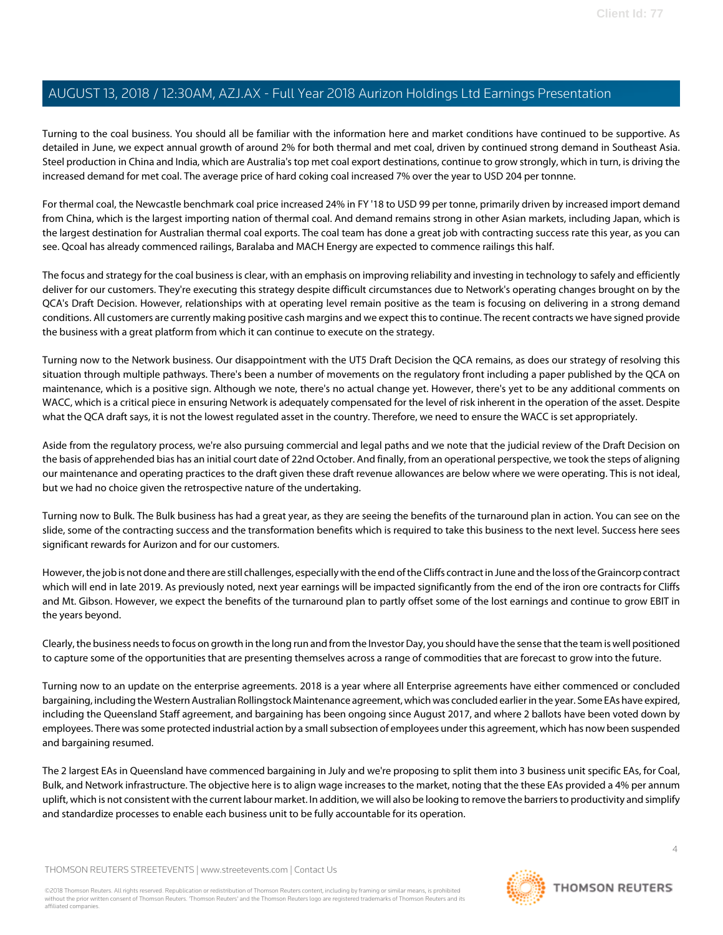Turning to the coal business. You should all be familiar with the information here and market conditions have continued to be supportive. As detailed in June, we expect annual growth of around 2% for both thermal and met coal, driven by continued strong demand in Southeast Asia. Steel production in China and India, which are Australia's top met coal export destinations, continue to grow strongly, which in turn, is driving the increased demand for met coal. The average price of hard coking coal increased 7% over the year to USD 204 per tonnne.

For thermal coal, the Newcastle benchmark coal price increased 24% in FY '18 to USD 99 per tonne, primarily driven by increased import demand from China, which is the largest importing nation of thermal coal. And demand remains strong in other Asian markets, including Japan, which is the largest destination for Australian thermal coal exports. The coal team has done a great job with contracting success rate this year, as you can see. Qcoal has already commenced railings, Baralaba and MACH Energy are expected to commence railings this half.

The focus and strategy for the coal business is clear, with an emphasis on improving reliability and investing in technology to safely and efficiently deliver for our customers. They're executing this strategy despite difficult circumstances due to Network's operating changes brought on by the QCA's Draft Decision. However, relationships with at operating level remain positive as the team is focusing on delivering in a strong demand conditions. All customers are currently making positive cash margins and we expect this to continue. The recent contracts we have signed provide the business with a great platform from which it can continue to execute on the strategy.

Turning now to the Network business. Our disappointment with the UT5 Draft Decision the QCA remains, as does our strategy of resolving this situation through multiple pathways. There's been a number of movements on the regulatory front including a paper published by the QCA on maintenance, which is a positive sign. Although we note, there's no actual change yet. However, there's yet to be any additional comments on WACC, which is a critical piece in ensuring Network is adequately compensated for the level of risk inherent in the operation of the asset. Despite what the QCA draft says, it is not the lowest regulated asset in the country. Therefore, we need to ensure the WACC is set appropriately.

Aside from the regulatory process, we're also pursuing commercial and legal paths and we note that the judicial review of the Draft Decision on the basis of apprehended bias has an initial court date of 22nd October. And finally, from an operational perspective, we took the steps of aligning our maintenance and operating practices to the draft given these draft revenue allowances are below where we were operating. This is not ideal, but we had no choice given the retrospective nature of the undertaking.

Turning now to Bulk. The Bulk business has had a great year, as they are seeing the benefits of the turnaround plan in action. You can see on the slide, some of the contracting success and the transformation benefits which is required to take this business to the next level. Success here sees significant rewards for Aurizon and for our customers.

However, the job is not done and there are still challenges, especially with the end of the Cliffs contract in June and the loss of the Graincorp contract which will end in late 2019. As previously noted, next year earnings will be impacted significantly from the end of the iron ore contracts for Cliffs and Mt. Gibson. However, we expect the benefits of the turnaround plan to partly offset some of the lost earnings and continue to grow EBIT in the years beyond.

Clearly, the business needs to focus on growth in the long run and from the Investor Day, you should have the sense that the team is well positioned to capture some of the opportunities that are presenting themselves across a range of commodities that are forecast to grow into the future.

Turning now to an update on the enterprise agreements. 2018 is a year where all Enterprise agreements have either commenced or concluded bargaining, including the Western Australian Rollingstock Maintenance agreement, which was concluded earlier in the year. Some EAs have expired, including the Queensland Staff agreement, and bargaining has been ongoing since August 2017, and where 2 ballots have been voted down by employees. There was some protected industrial action by a small subsection of employees under this agreement, which has now been suspended and bargaining resumed.

The 2 largest EAs in Queensland have commenced bargaining in July and we're proposing to split them into 3 business unit specific EAs, for Coal, Bulk, and Network infrastructure. The objective here is to align wage increases to the market, noting that the these EAs provided a 4% per annum uplift, which is not consistent with the current labour market. In addition, we will also be looking to remove the barriers to productivity and simplify and standardize processes to enable each business unit to be fully accountable for its operation.

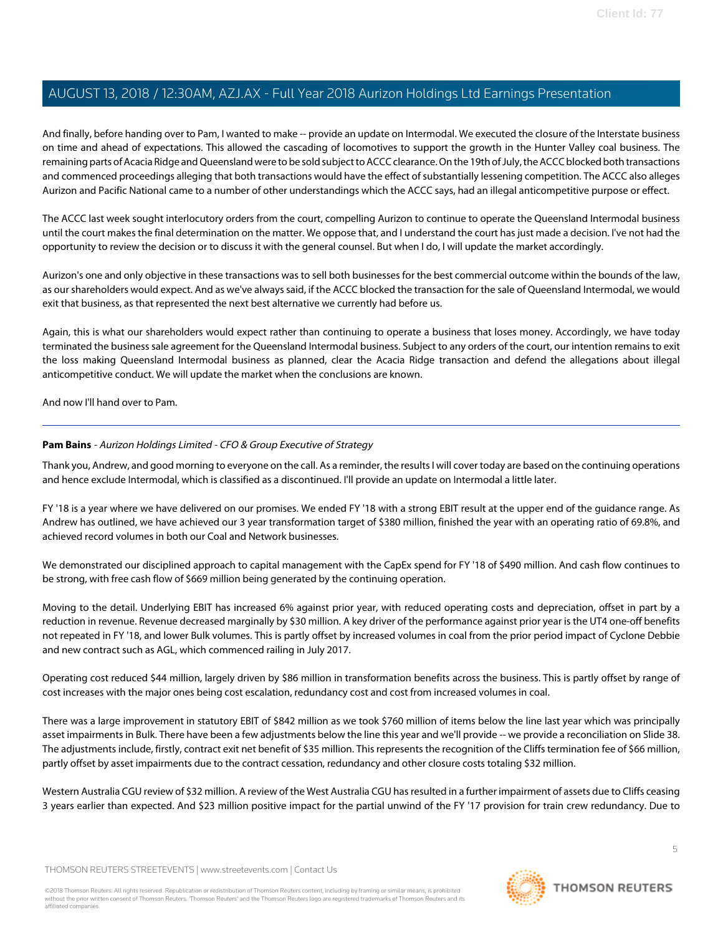And finally, before handing over to Pam, I wanted to make -- provide an update on Intermodal. We executed the closure of the Interstate business on time and ahead of expectations. This allowed the cascading of locomotives to support the growth in the Hunter Valley coal business. The remaining parts of Acacia Ridge and Queensland were to be sold subject to ACCC clearance. On the 19th of July, the ACCC blocked both transactions and commenced proceedings alleging that both transactions would have the effect of substantially lessening competition. The ACCC also alleges Aurizon and Pacific National came to a number of other understandings which the ACCC says, had an illegal anticompetitive purpose or effect.

The ACCC last week sought interlocutory orders from the court, compelling Aurizon to continue to operate the Queensland Intermodal business until the court makes the final determination on the matter. We oppose that, and I understand the court has just made a decision. I've not had the opportunity to review the decision or to discuss it with the general counsel. But when I do, I will update the market accordingly.

Aurizon's one and only objective in these transactions was to sell both businesses for the best commercial outcome within the bounds of the law, as our shareholders would expect. And as we've always said, if the ACCC blocked the transaction for the sale of Queensland Intermodal, we would exit that business, as that represented the next best alternative we currently had before us.

Again, this is what our shareholders would expect rather than continuing to operate a business that loses money. Accordingly, we have today terminated the business sale agreement for the Queensland Intermodal business. Subject to any orders of the court, our intention remains to exit the loss making Queensland Intermodal business as planned, clear the Acacia Ridge transaction and defend the allegations about illegal anticompetitive conduct. We will update the market when the conclusions are known.

<span id="page-4-0"></span>And now I'll hand over to Pam.

### **Pam Bains** - Aurizon Holdings Limited - CFO & Group Executive of Strategy

Thank you, Andrew, and good morning to everyone on the call. As a reminder, the results I will cover today are based on the continuing operations and hence exclude Intermodal, which is classified as a discontinued. I'll provide an update on Intermodal a little later.

FY '18 is a year where we have delivered on our promises. We ended FY '18 with a strong EBIT result at the upper end of the guidance range. As Andrew has outlined, we have achieved our 3 year transformation target of \$380 million, finished the year with an operating ratio of 69.8%, and achieved record volumes in both our Coal and Network businesses.

We demonstrated our disciplined approach to capital management with the CapEx spend for FY '18 of \$490 million. And cash flow continues to be strong, with free cash flow of \$669 million being generated by the continuing operation.

Moving to the detail. Underlying EBIT has increased 6% against prior year, with reduced operating costs and depreciation, offset in part by a reduction in revenue. Revenue decreased marginally by \$30 million. A key driver of the performance against prior year is the UT4 one-off benefits not repeated in FY '18, and lower Bulk volumes. This is partly offset by increased volumes in coal from the prior period impact of Cyclone Debbie and new contract such as AGL, which commenced railing in July 2017.

Operating cost reduced \$44 million, largely driven by \$86 million in transformation benefits across the business. This is partly offset by range of cost increases with the major ones being cost escalation, redundancy cost and cost from increased volumes in coal.

There was a large improvement in statutory EBIT of \$842 million as we took \$760 million of items below the line last year which was principally asset impairments in Bulk. There have been a few adjustments below the line this year and we'll provide -- we provide a reconciliation on Slide 38. The adjustments include, firstly, contract exit net benefit of \$35 million. This represents the recognition of the Cliffs termination fee of \$66 million, partly offset by asset impairments due to the contract cessation, redundancy and other closure costs totaling \$32 million.

Western Australia CGU review of \$32 million. A review of the West Australia CGU has resulted in a further impairment of assets due to Cliffs ceasing 3 years earlier than expected. And \$23 million positive impact for the partial unwind of the FY '17 provision for train crew redundancy. Due to

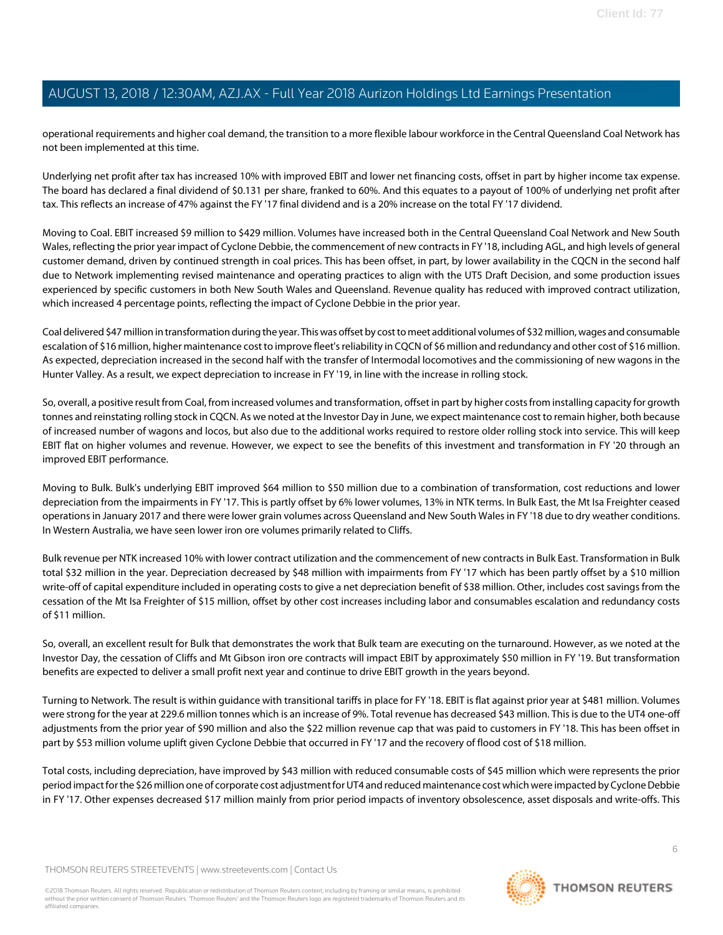operational requirements and higher coal demand, the transition to a more flexible labour workforce in the Central Queensland Coal Network has not been implemented at this time.

Underlying net profit after tax has increased 10% with improved EBIT and lower net financing costs, offset in part by higher income tax expense. The board has declared a final dividend of \$0.131 per share, franked to 60%. And this equates to a payout of 100% of underlying net profit after tax. This reflects an increase of 47% against the FY '17 final dividend and is a 20% increase on the total FY '17 dividend.

Moving to Coal. EBIT increased \$9 million to \$429 million. Volumes have increased both in the Central Queensland Coal Network and New South Wales, reflecting the prior year impact of Cyclone Debbie, the commencement of new contracts in FY '18, including AGL, and high levels of general customer demand, driven by continued strength in coal prices. This has been offset, in part, by lower availability in the CQCN in the second half due to Network implementing revised maintenance and operating practices to align with the UT5 Draft Decision, and some production issues experienced by specific customers in both New South Wales and Queensland. Revenue quality has reduced with improved contract utilization, which increased 4 percentage points, reflecting the impact of Cyclone Debbie in the prior year.

Coal delivered \$47 million in transformation during the year. This was offset by cost to meet additional volumes of \$32 million, wages and consumable escalation of \$16 million, higher maintenance cost to improve fleet's reliability in CQCN of \$6 million and redundancy and other cost of \$16 million. As expected, depreciation increased in the second half with the transfer of Intermodal locomotives and the commissioning of new wagons in the Hunter Valley. As a result, we expect depreciation to increase in FY '19, in line with the increase in rolling stock.

So, overall, a positive result from Coal, from increased volumes and transformation, offset in part by higher costs from installing capacity for growth tonnes and reinstating rolling stock in CQCN. As we noted at the Investor Day in June, we expect maintenance cost to remain higher, both because of increased number of wagons and locos, but also due to the additional works required to restore older rolling stock into service. This will keep EBIT flat on higher volumes and revenue. However, we expect to see the benefits of this investment and transformation in FY '20 through an improved EBIT performance.

Moving to Bulk. Bulk's underlying EBIT improved \$64 million to \$50 million due to a combination of transformation, cost reductions and lower depreciation from the impairments in FY '17. This is partly offset by 6% lower volumes, 13% in NTK terms. In Bulk East, the Mt Isa Freighter ceased operations in January 2017 and there were lower grain volumes across Queensland and New South Wales in FY '18 due to dry weather conditions. In Western Australia, we have seen lower iron ore volumes primarily related to Cliffs.

Bulk revenue per NTK increased 10% with lower contract utilization and the commencement of new contracts in Bulk East. Transformation in Bulk total \$32 million in the year. Depreciation decreased by \$48 million with impairments from FY '17 which has been partly offset by a \$10 million write-off of capital expenditure included in operating costs to give a net depreciation benefit of \$38 million. Other, includes cost savings from the cessation of the Mt Isa Freighter of \$15 million, offset by other cost increases including labor and consumables escalation and redundancy costs of \$11 million.

So, overall, an excellent result for Bulk that demonstrates the work that Bulk team are executing on the turnaround. However, as we noted at the Investor Day, the cessation of Cliffs and Mt Gibson iron ore contracts will impact EBIT by approximately \$50 million in FY '19. But transformation benefits are expected to deliver a small profit next year and continue to drive EBIT growth in the years beyond.

Turning to Network. The result is within guidance with transitional tariffs in place for FY '18. EBIT is flat against prior year at \$481 million. Volumes were strong for the year at 229.6 million tonnes which is an increase of 9%. Total revenue has decreased \$43 million. This is due to the UT4 one-off adjustments from the prior year of \$90 million and also the \$22 million revenue cap that was paid to customers in FY '18. This has been offset in part by \$53 million volume uplift given Cyclone Debbie that occurred in FY '17 and the recovery of flood cost of \$18 million.

Total costs, including depreciation, have improved by \$43 million with reduced consumable costs of \$45 million which were represents the prior period impact for the \$26 million one of corporate cost adjustment for UT4 and reduced maintenance cost which were impacted by Cyclone Debbie in FY '17. Other expenses decreased \$17 million mainly from prior period impacts of inventory obsolescence, asset disposals and write-offs. This

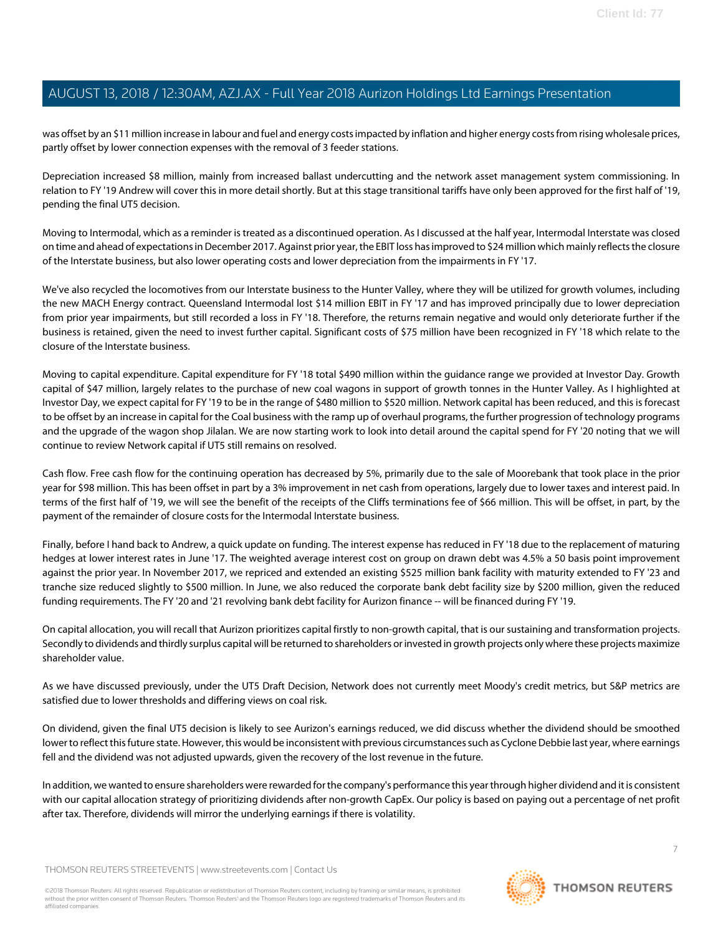was offset by an \$11 million increase in labour and fuel and energy costs impacted by inflation and higher energy costs from rising wholesale prices, partly offset by lower connection expenses with the removal of 3 feeder stations.

Depreciation increased \$8 million, mainly from increased ballast undercutting and the network asset management system commissioning. In relation to FY '19 Andrew will cover this in more detail shortly. But at this stage transitional tariffs have only been approved for the first half of '19, pending the final UT5 decision.

Moving to Intermodal, which as a reminder is treated as a discontinued operation. As I discussed at the half year, Intermodal Interstate was closed on time and ahead of expectations in December 2017. Against prior year, the EBIT loss has improved to \$24 million which mainly reflects the closure of the Interstate business, but also lower operating costs and lower depreciation from the impairments in FY '17.

We've also recycled the locomotives from our Interstate business to the Hunter Valley, where they will be utilized for growth volumes, including the new MACH Energy contract. Queensland Intermodal lost \$14 million EBIT in FY '17 and has improved principally due to lower depreciation from prior year impairments, but still recorded a loss in FY '18. Therefore, the returns remain negative and would only deteriorate further if the business is retained, given the need to invest further capital. Significant costs of \$75 million have been recognized in FY '18 which relate to the closure of the Interstate business.

Moving to capital expenditure. Capital expenditure for FY '18 total \$490 million within the guidance range we provided at Investor Day. Growth capital of \$47 million, largely relates to the purchase of new coal wagons in support of growth tonnes in the Hunter Valley. As I highlighted at Investor Day, we expect capital for FY '19 to be in the range of \$480 million to \$520 million. Network capital has been reduced, and this is forecast to be offset by an increase in capital for the Coal business with the ramp up of overhaul programs, the further progression of technology programs and the upgrade of the wagon shop Jilalan. We are now starting work to look into detail around the capital spend for FY '20 noting that we will continue to review Network capital if UT5 still remains on resolved.

Cash flow. Free cash flow for the continuing operation has decreased by 5%, primarily due to the sale of Moorebank that took place in the prior year for \$98 million. This has been offset in part by a 3% improvement in net cash from operations, largely due to lower taxes and interest paid. In terms of the first half of '19, we will see the benefit of the receipts of the Cliffs terminations fee of \$66 million. This will be offset, in part, by the payment of the remainder of closure costs for the Intermodal Interstate business.

Finally, before I hand back to Andrew, a quick update on funding. The interest expense has reduced in FY '18 due to the replacement of maturing hedges at lower interest rates in June '17. The weighted average interest cost on group on drawn debt was 4.5% a 50 basis point improvement against the prior year. In November 2017, we repriced and extended an existing \$525 million bank facility with maturity extended to FY '23 and tranche size reduced slightly to \$500 million. In June, we also reduced the corporate bank debt facility size by \$200 million, given the reduced funding requirements. The FY '20 and '21 revolving bank debt facility for Aurizon finance -- will be financed during FY '19.

On capital allocation, you will recall that Aurizon prioritizes capital firstly to non-growth capital, that is our sustaining and transformation projects. Secondly to dividends and thirdly surplus capital will be returned to shareholders or invested in growth projects only where these projects maximize shareholder value.

As we have discussed previously, under the UT5 Draft Decision, Network does not currently meet Moody's credit metrics, but S&P metrics are satisfied due to lower thresholds and differing views on coal risk.

On dividend, given the final UT5 decision is likely to see Aurizon's earnings reduced, we did discuss whether the dividend should be smoothed lower to reflect this future state. However, this would be inconsistent with previous circumstances such as Cyclone Debbie last year, where earnings fell and the dividend was not adjusted upwards, given the recovery of the lost revenue in the future.

In addition, we wanted to ensure shareholders were rewarded for the company's performance this year through higher dividend and it is consistent with our capital allocation strategy of prioritizing dividends after non-growth CapEx. Our policy is based on paying out a percentage of net profit after tax. Therefore, dividends will mirror the underlying earnings if there is volatility.

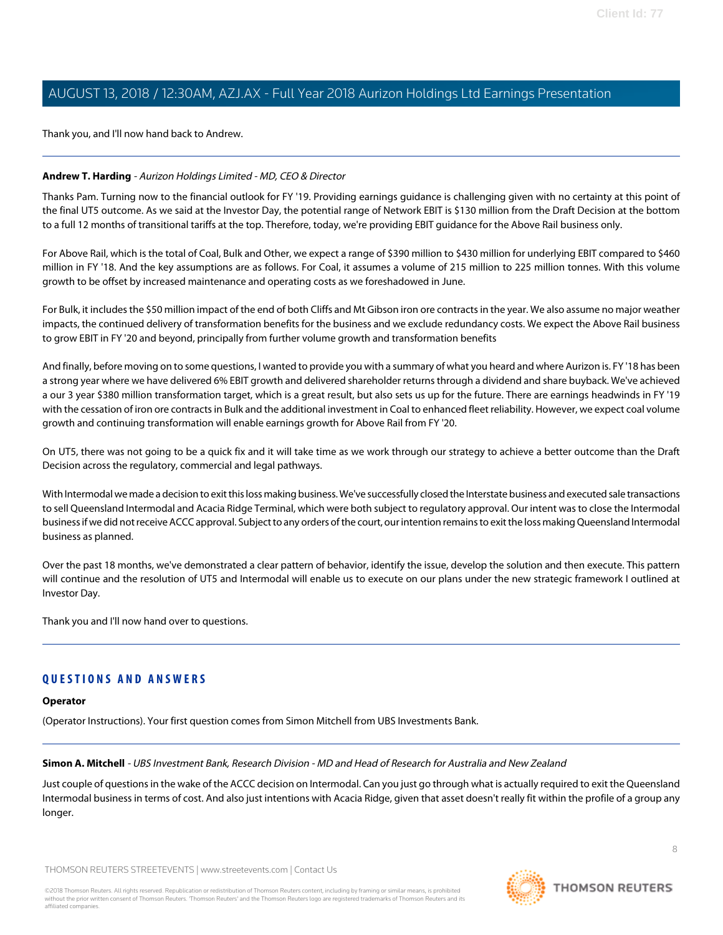Thank you, and I'll now hand back to Andrew.

### **Andrew T. Harding** - Aurizon Holdings Limited - MD, CEO & Director

Thanks Pam. Turning now to the financial outlook for FY '19. Providing earnings guidance is challenging given with no certainty at this point of the final UT5 outcome. As we said at the Investor Day, the potential range of Network EBIT is \$130 million from the Draft Decision at the bottom to a full 12 months of transitional tariffs at the top. Therefore, today, we're providing EBIT guidance for the Above Rail business only.

For Above Rail, which is the total of Coal, Bulk and Other, we expect a range of \$390 million to \$430 million for underlying EBIT compared to \$460 million in FY '18. And the key assumptions are as follows. For Coal, it assumes a volume of 215 million to 225 million tonnes. With this volume growth to be offset by increased maintenance and operating costs as we foreshadowed in June.

For Bulk, it includes the \$50 million impact of the end of both Cliffs and Mt Gibson iron ore contracts in the year. We also assume no major weather impacts, the continued delivery of transformation benefits for the business and we exclude redundancy costs. We expect the Above Rail business to grow EBIT in FY '20 and beyond, principally from further volume growth and transformation benefits

And finally, before moving on to some questions, I wanted to provide you with a summary of what you heard and where Aurizon is. FY '18 has been a strong year where we have delivered 6% EBIT growth and delivered shareholder returns through a dividend and share buyback. We've achieved a our 3 year \$380 million transformation target, which is a great result, but also sets us up for the future. There are earnings headwinds in FY '19 with the cessation of iron ore contracts in Bulk and the additional investment in Coal to enhanced fleet reliability. However, we expect coal volume growth and continuing transformation will enable earnings growth for Above Rail from FY '20.

On UT5, there was not going to be a quick fix and it will take time as we work through our strategy to achieve a better outcome than the Draft Decision across the regulatory, commercial and legal pathways.

With Intermodal we made a decision to exit this loss making business. We've successfully closed the Interstate business and executed sale transactions to sell Queensland Intermodal and Acacia Ridge Terminal, which were both subject to regulatory approval. Our intent was to close the Intermodal business if we did not receive ACCC approval. Subject to any orders of the court, our intention remains to exit the loss making Queensland Intermodal business as planned.

Over the past 18 months, we've demonstrated a clear pattern of behavior, identify the issue, develop the solution and then execute. This pattern will continue and the resolution of UT5 and Intermodal will enable us to execute on our plans under the new strategic framework I outlined at Investor Day.

Thank you and I'll now hand over to questions.

# <span id="page-7-0"></span>**QUESTIONS AND ANSWERS**

# **Operator**

(Operator Instructions). Your first question comes from Simon Mitchell from UBS Investments Bank.

# **Simon A. Mitchell** - UBS Investment Bank, Research Division - MD and Head of Research for Australia and New Zealand

Just couple of questions in the wake of the ACCC decision on Intermodal. Can you just go through what is actually required to exit the Queensland Intermodal business in terms of cost. And also just intentions with Acacia Ridge, given that asset doesn't really fit within the profile of a group any longer.

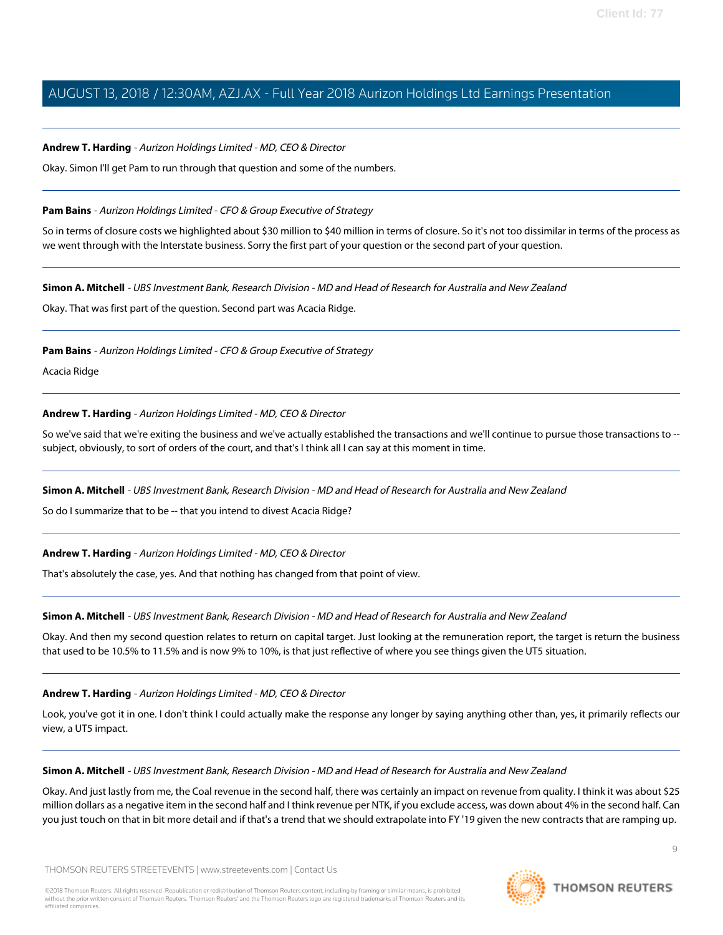### **Andrew T. Harding** - Aurizon Holdings Limited - MD, CEO & Director

Okay. Simon I'll get Pam to run through that question and some of the numbers.

### **Pam Bains** - Aurizon Holdings Limited - CFO & Group Executive of Strategy

So in terms of closure costs we highlighted about \$30 million to \$40 million in terms of closure. So it's not too dissimilar in terms of the process as we went through with the Interstate business. Sorry the first part of your question or the second part of your question.

### **Simon A. Mitchell** - UBS Investment Bank, Research Division - MD and Head of Research for Australia and New Zealand

Okay. That was first part of the question. Second part was Acacia Ridge.

**Pam Bains** - Aurizon Holdings Limited - CFO & Group Executive of Strategy

Acacia Ridge

### **Andrew T. Harding** - Aurizon Holdings Limited - MD, CEO & Director

So we've said that we're exiting the business and we've actually established the transactions and we'll continue to pursue those transactions to - subject, obviously, to sort of orders of the court, and that's I think all I can say at this moment in time.

### **Simon A. Mitchell** - UBS Investment Bank, Research Division - MD and Head of Research for Australia and New Zealand

So do I summarize that to be -- that you intend to divest Acacia Ridge?

**Andrew T. Harding** - Aurizon Holdings Limited - MD, CEO & Director

That's absolutely the case, yes. And that nothing has changed from that point of view.

### **Simon A. Mitchell** - UBS Investment Bank, Research Division - MD and Head of Research for Australia and New Zealand

Okay. And then my second question relates to return on capital target. Just looking at the remuneration report, the target is return the business that used to be 10.5% to 11.5% and is now 9% to 10%, is that just reflective of where you see things given the UT5 situation.

### **Andrew T. Harding** - Aurizon Holdings Limited - MD, CEO & Director

Look, you've got it in one. I don't think I could actually make the response any longer by saying anything other than, yes, it primarily reflects our view, a UT5 impact.

### **Simon A. Mitchell** - UBS Investment Bank, Research Division - MD and Head of Research for Australia and New Zealand

Okay. And just lastly from me, the Coal revenue in the second half, there was certainly an impact on revenue from quality. I think it was about \$25 million dollars as a negative item in the second half and I think revenue per NTK, if you exclude access, was down about 4% in the second half. Can you just touch on that in bit more detail and if that's a trend that we should extrapolate into FY '19 given the new contracts that are ramping up.

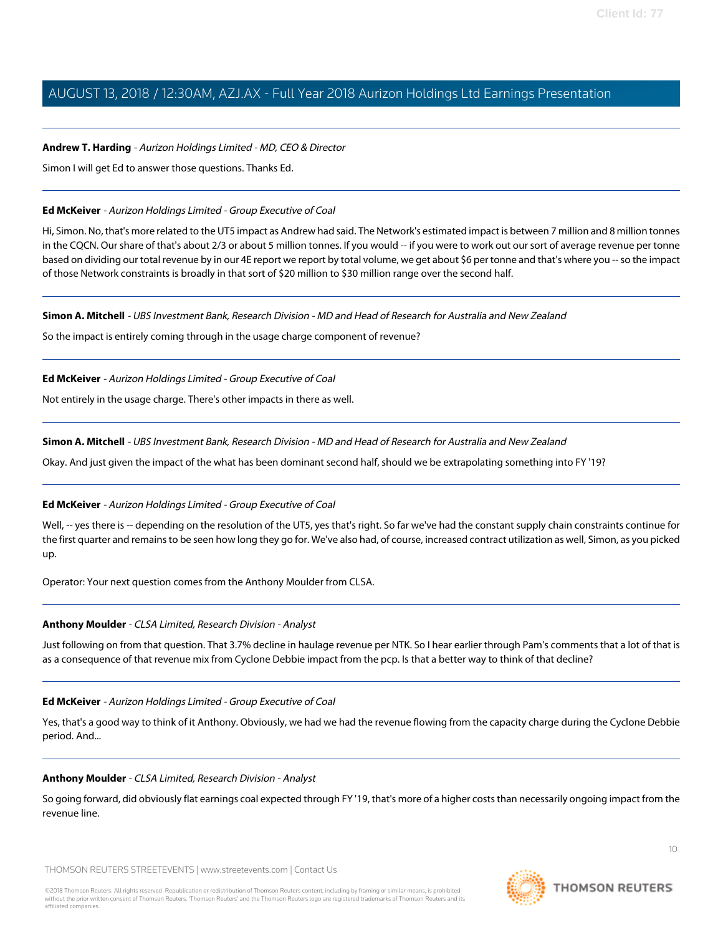### **Andrew T. Harding** - Aurizon Holdings Limited - MD, CEO & Director

Simon I will get Ed to answer those questions. Thanks Ed.

### <span id="page-9-0"></span>**Ed McKeiver** - Aurizon Holdings Limited - Group Executive of Coal

Hi, Simon. No, that's more related to the UT5 impact as Andrew had said. The Network's estimated impact is between 7 million and 8 million tonnes in the CQCN. Our share of that's about 2/3 or about 5 million tonnes. If you would -- if you were to work out our sort of average revenue per tonne based on dividing our total revenue by in our 4E report we report by total volume, we get about \$6 per tonne and that's where you -- so the impact of those Network constraints is broadly in that sort of \$20 million to \$30 million range over the second half.

### **Simon A. Mitchell** - UBS Investment Bank, Research Division - MD and Head of Research for Australia and New Zealand

So the impact is entirely coming through in the usage charge component of revenue?

**Ed McKeiver** - Aurizon Holdings Limited - Group Executive of Coal

Not entirely in the usage charge. There's other impacts in there as well.

### **Simon A. Mitchell** - UBS Investment Bank, Research Division - MD and Head of Research for Australia and New Zealand

Okay. And just given the impact of the what has been dominant second half, should we be extrapolating something into FY '19?

### **Ed McKeiver** - Aurizon Holdings Limited - Group Executive of Coal

Well, -- yes there is -- depending on the resolution of the UT5, yes that's right. So far we've had the constant supply chain constraints continue for the first quarter and remains to be seen how long they go for. We've also had, of course, increased contract utilization as well, Simon, as you picked up.

<span id="page-9-1"></span>Operator: Your next question comes from the Anthony Moulder from CLSA.

### **Anthony Moulder** - CLSA Limited, Research Division - Analyst

Just following on from that question. That 3.7% decline in haulage revenue per NTK. So I hear earlier through Pam's comments that a lot of that is as a consequence of that revenue mix from Cyclone Debbie impact from the pcp. Is that a better way to think of that decline?

### **Ed McKeiver** - Aurizon Holdings Limited - Group Executive of Coal

Yes, that's a good way to think of it Anthony. Obviously, we had we had the revenue flowing from the capacity charge during the Cyclone Debbie period. And...

### **Anthony Moulder** - CLSA Limited, Research Division - Analyst

So going forward, did obviously flat earnings coal expected through FY '19, that's more of a higher costs than necessarily ongoing impact from the revenue line.

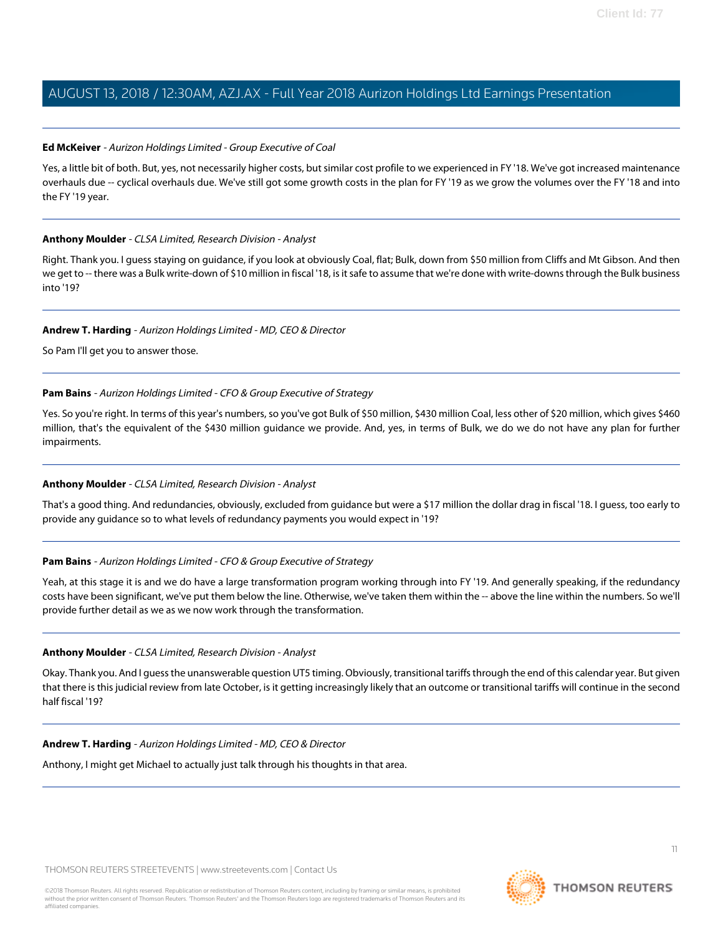### **Ed McKeiver** - Aurizon Holdings Limited - Group Executive of Coal

Yes, a little bit of both. But, yes, not necessarily higher costs, but similar cost profile to we experienced in FY '18. We've got increased maintenance overhauls due -- cyclical overhauls due. We've still got some growth costs in the plan for FY '19 as we grow the volumes over the FY '18 and into the FY '19 year.

### **Anthony Moulder** - CLSA Limited, Research Division - Analyst

Right. Thank you. I guess staying on guidance, if you look at obviously Coal, flat; Bulk, down from \$50 million from Cliffs and Mt Gibson. And then we get to -- there was a Bulk write-down of \$10 million in fiscal '18, is it safe to assume that we're done with write-downs through the Bulk business into '19?

### **Andrew T. Harding** - Aurizon Holdings Limited - MD, CEO & Director

So Pam I'll get you to answer those.

### **Pam Bains** - Aurizon Holdings Limited - CFO & Group Executive of Strategy

Yes. So you're right. In terms of this year's numbers, so you've got Bulk of \$50 million, \$430 million Coal, less other of \$20 million, which gives \$460 million, that's the equivalent of the \$430 million guidance we provide. And, yes, in terms of Bulk, we do we do not have any plan for further impairments.

### **Anthony Moulder** - CLSA Limited, Research Division - Analyst

That's a good thing. And redundancies, obviously, excluded from guidance but were a \$17 million the dollar drag in fiscal '18. I guess, too early to provide any guidance so to what levels of redundancy payments you would expect in '19?

### **Pam Bains** - Aurizon Holdings Limited - CFO & Group Executive of Strategy

Yeah, at this stage it is and we do have a large transformation program working through into FY '19. And generally speaking, if the redundancy costs have been significant, we've put them below the line. Otherwise, we've taken them within the -- above the line within the numbers. So we'll provide further detail as we as we now work through the transformation.

### **Anthony Moulder** - CLSA Limited, Research Division - Analyst

Okay. Thank you. And I guess the unanswerable question UT5 timing. Obviously, transitional tariffs through the end of this calendar year. But given that there is this judicial review from late October, is it getting increasingly likely that an outcome or transitional tariffs will continue in the second half fiscal '19?

### **Andrew T. Harding** - Aurizon Holdings Limited - MD, CEO & Director

Anthony, I might get Michael to actually just talk through his thoughts in that area.

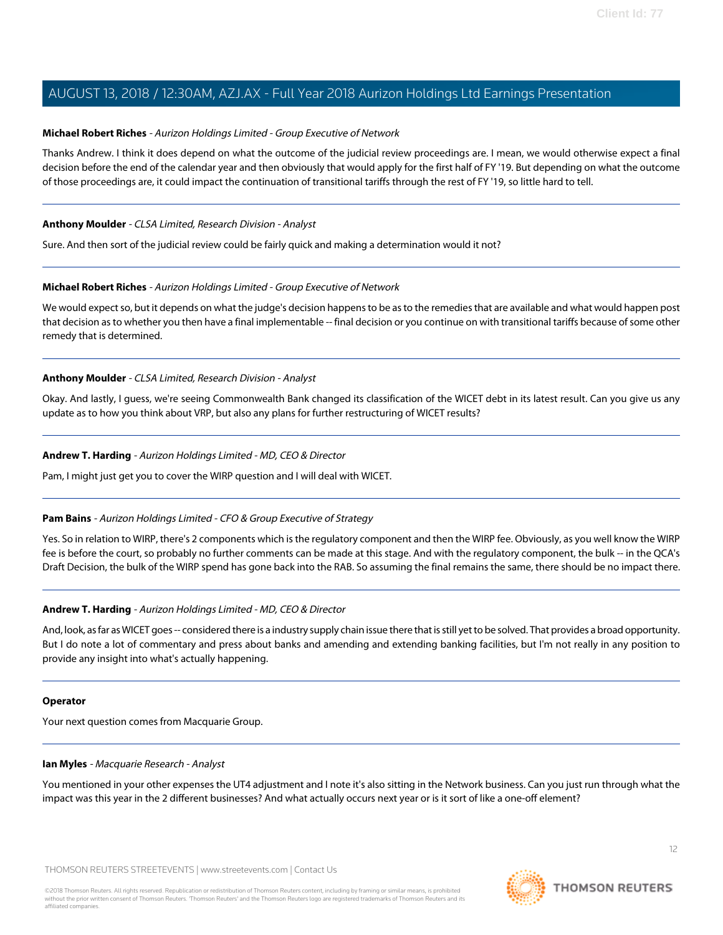### <span id="page-11-0"></span>**Michael Robert Riches** - Aurizon Holdings Limited - Group Executive of Network

Thanks Andrew. I think it does depend on what the outcome of the judicial review proceedings are. I mean, we would otherwise expect a final decision before the end of the calendar year and then obviously that would apply for the first half of FY '19. But depending on what the outcome of those proceedings are, it could impact the continuation of transitional tariffs through the rest of FY '19, so little hard to tell.

### **Anthony Moulder** - CLSA Limited, Research Division - Analyst

Sure. And then sort of the judicial review could be fairly quick and making a determination would it not?

### **Michael Robert Riches** - Aurizon Holdings Limited - Group Executive of Network

We would expect so, but it depends on what the judge's decision happens to be as to the remedies that are available and what would happen post that decision as to whether you then have a final implementable -- final decision or you continue on with transitional tariffs because of some other remedy that is determined.

### **Anthony Moulder** - CLSA Limited, Research Division - Analyst

Okay. And lastly, I guess, we're seeing Commonwealth Bank changed its classification of the WICET debt in its latest result. Can you give us any update as to how you think about VRP, but also any plans for further restructuring of WICET results?

### **Andrew T. Harding** - Aurizon Holdings Limited - MD, CEO & Director

Pam, I might just get you to cover the WIRP question and I will deal with WICET.

### **Pam Bains** - Aurizon Holdings Limited - CFO & Group Executive of Strategy

Yes. So in relation to WIRP, there's 2 components which is the regulatory component and then the WIRP fee. Obviously, as you well know the WIRP fee is before the court, so probably no further comments can be made at this stage. And with the regulatory component, the bulk -- in the QCA's Draft Decision, the bulk of the WIRP spend has gone back into the RAB. So assuming the final remains the same, there should be no impact there.

### **Andrew T. Harding** - Aurizon Holdings Limited - MD, CEO & Director

And, look, as far as WICET goes -- considered there is a industry supply chain issue there that is still yet to be solved. That provides a broad opportunity. But I do note a lot of commentary and press about banks and amending and extending banking facilities, but I'm not really in any position to provide any insight into what's actually happening.

#### <span id="page-11-1"></span>**Operator**

Your next question comes from Macquarie Group.

#### **Ian Myles** - Macquarie Research - Analyst

You mentioned in your other expenses the UT4 adjustment and I note it's also sitting in the Network business. Can you just run through what the impact was this year in the 2 different businesses? And what actually occurs next year or is it sort of like a one-off element?

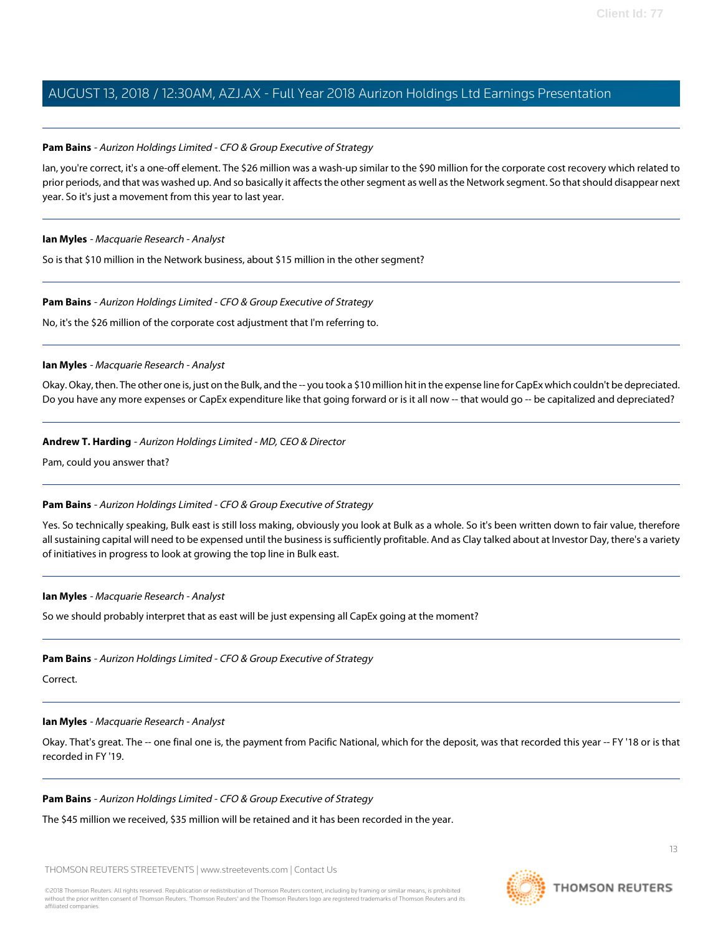### **Pam Bains** - Aurizon Holdings Limited - CFO & Group Executive of Strategy

Ian, you're correct, it's a one-off element. The \$26 million was a wash-up similar to the \$90 million for the corporate cost recovery which related to prior periods, and that was washed up. And so basically it affects the other segment as well as the Network segment. So that should disappear next year. So it's just a movement from this year to last year.

#### **Ian Myles** - Macquarie Research - Analyst

So is that \$10 million in the Network business, about \$15 million in the other segment?

### **Pam Bains** - Aurizon Holdings Limited - CFO & Group Executive of Strategy

No, it's the \$26 million of the corporate cost adjustment that I'm referring to.

### **Ian Myles** - Macquarie Research - Analyst

Okay. Okay, then. The other one is, just on the Bulk, and the -- you took a \$10 million hit in the expense line for CapEx which couldn't be depreciated. Do you have any more expenses or CapEx expenditure like that going forward or is it all now -- that would go -- be capitalized and depreciated?

### **Andrew T. Harding** - Aurizon Holdings Limited - MD, CEO & Director

Pam, could you answer that?

### **Pam Bains** - Aurizon Holdings Limited - CFO & Group Executive of Strategy

Yes. So technically speaking, Bulk east is still loss making, obviously you look at Bulk as a whole. So it's been written down to fair value, therefore all sustaining capital will need to be expensed until the business is sufficiently profitable. And as Clay talked about at Investor Day, there's a variety of initiatives in progress to look at growing the top line in Bulk east.

### **Ian Myles** - Macquarie Research - Analyst

So we should probably interpret that as east will be just expensing all CapEx going at the moment?

### **Pam Bains** - Aurizon Holdings Limited - CFO & Group Executive of Strategy

Correct.

#### **Ian Myles** - Macquarie Research - Analyst

Okay. That's great. The -- one final one is, the payment from Pacific National, which for the deposit, was that recorded this year -- FY '18 or is that recorded in FY '19.

### **Pam Bains** - Aurizon Holdings Limited - CFO & Group Executive of Strategy

The \$45 million we received, \$35 million will be retained and it has been recorded in the year.

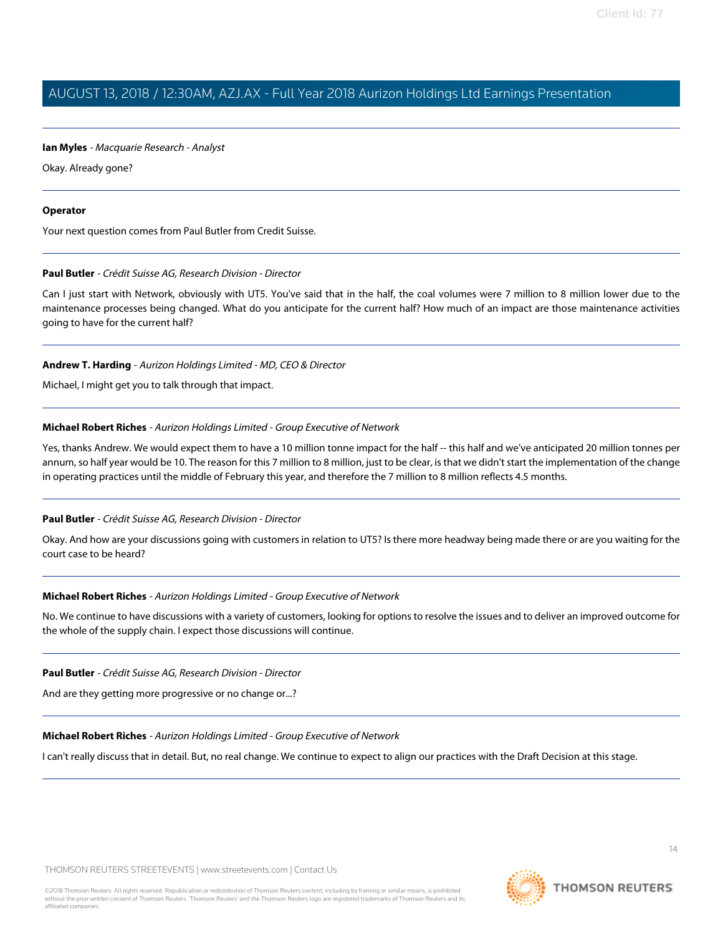### **Ian Myles** - Macquarie Research - Analyst

Okay. Already gone?

### **Operator**

<span id="page-13-0"></span>Your next question comes from Paul Butler from Credit Suisse.

### **Paul Butler** - Crédit Suisse AG, Research Division - Director

Can I just start with Network, obviously with UT5. You've said that in the half, the coal volumes were 7 million to 8 million lower due to the maintenance processes being changed. What do you anticipate for the current half? How much of an impact are those maintenance activities going to have for the current half?

### **Andrew T. Harding** - Aurizon Holdings Limited - MD, CEO & Director

Michael, I might get you to talk through that impact.

### **Michael Robert Riches** - Aurizon Holdings Limited - Group Executive of Network

Yes, thanks Andrew. We would expect them to have a 10 million tonne impact for the half -- this half and we've anticipated 20 million tonnes per annum, so half year would be 10. The reason for this 7 million to 8 million, just to be clear, is that we didn't start the implementation of the change in operating practices until the middle of February this year, and therefore the 7 million to 8 million reflects 4.5 months.

### **Paul Butler** - Crédit Suisse AG, Research Division - Director

Okay. And how are your discussions going with customers in relation to UT5? Is there more headway being made there or are you waiting for the court case to be heard?

### **Michael Robert Riches** - Aurizon Holdings Limited - Group Executive of Network

No. We continue to have discussions with a variety of customers, looking for options to resolve the issues and to deliver an improved outcome for the whole of the supply chain. I expect those discussions will continue.

**Paul Butler** - Crédit Suisse AG, Research Division - Director

And are they getting more progressive or no change or...?

### **Michael Robert Riches** - Aurizon Holdings Limited - Group Executive of Network

I can't really discuss that in detail. But, no real change. We continue to expect to align our practices with the Draft Decision at this stage.

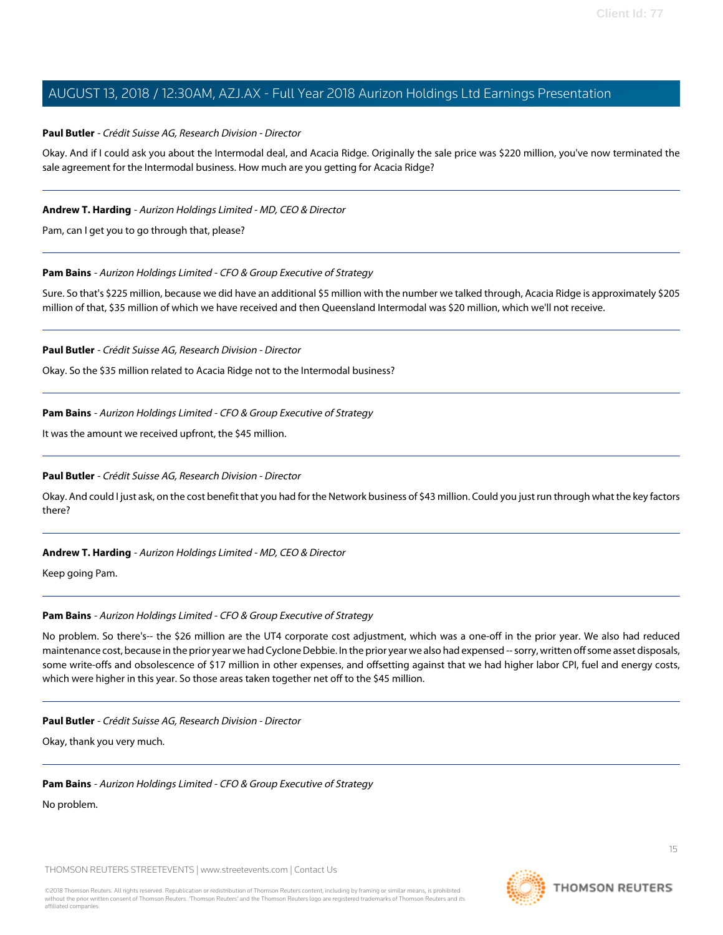### **Paul Butler** - Crédit Suisse AG, Research Division - Director

Okay. And if I could ask you about the Intermodal deal, and Acacia Ridge. Originally the sale price was \$220 million, you've now terminated the sale agreement for the Intermodal business. How much are you getting for Acacia Ridge?

### **Andrew T. Harding** - Aurizon Holdings Limited - MD, CEO & Director

Pam, can I get you to go through that, please?

### **Pam Bains** - Aurizon Holdings Limited - CFO & Group Executive of Strategy

Sure. So that's \$225 million, because we did have an additional \$5 million with the number we talked through, Acacia Ridge is approximately \$205 million of that, \$35 million of which we have received and then Queensland Intermodal was \$20 million, which we'll not receive.

**Paul Butler** - Crédit Suisse AG, Research Division - Director

Okay. So the \$35 million related to Acacia Ridge not to the Intermodal business?

**Pam Bains** - Aurizon Holdings Limited - CFO & Group Executive of Strategy

It was the amount we received upfront, the \$45 million.

### **Paul Butler** - Crédit Suisse AG, Research Division - Director

Okay. And could I just ask, on the cost benefit that you had for the Network business of \$43 million. Could you just run through what the key factors there?

### **Andrew T. Harding** - Aurizon Holdings Limited - MD, CEO & Director

Keep going Pam.

### **Pam Bains** - Aurizon Holdings Limited - CFO & Group Executive of Strategy

No problem. So there's-- the \$26 million are the UT4 corporate cost adjustment, which was a one-off in the prior year. We also had reduced maintenance cost, because in the prior year we had Cyclone Debbie. In the prior year we also had expensed -- sorry, written off some asset disposals, some write-offs and obsolescence of \$17 million in other expenses, and offsetting against that we had higher labor CPI, fuel and energy costs, which were higher in this year. So those areas taken together net off to the \$45 million.

#### **Paul Butler** - Crédit Suisse AG, Research Division - Director

Okay, thank you very much.

### **Pam Bains** - Aurizon Holdings Limited - CFO & Group Executive of Strategy

No problem.

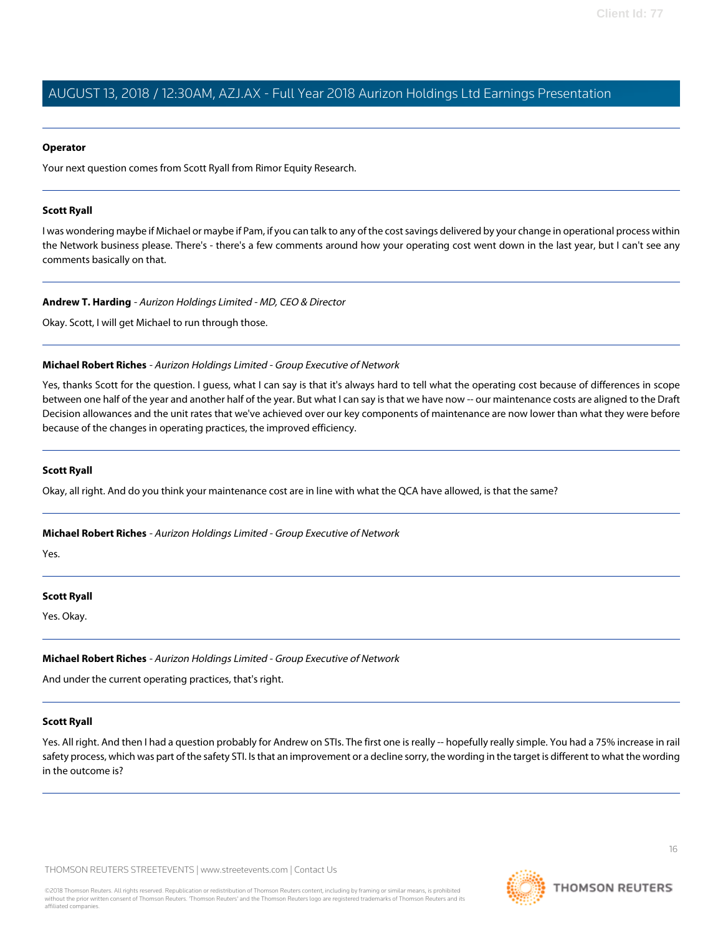### **Operator**

<span id="page-15-0"></span>Your next question comes from Scott Ryall from Rimor Equity Research.

### **Scott Ryall**

I was wondering maybe if Michael or maybe if Pam, if you can talk to any of the cost savings delivered by your change in operational process within the Network business please. There's - there's a few comments around how your operating cost went down in the last year, but I can't see any comments basically on that.

**Andrew T. Harding** - Aurizon Holdings Limited - MD, CEO & Director

Okay. Scott, I will get Michael to run through those.

### **Michael Robert Riches** - Aurizon Holdings Limited - Group Executive of Network

Yes, thanks Scott for the question. I guess, what I can say is that it's always hard to tell what the operating cost because of differences in scope between one half of the year and another half of the year. But what I can say is that we have now -- our maintenance costs are aligned to the Draft Decision allowances and the unit rates that we've achieved over our key components of maintenance are now lower than what they were before because of the changes in operating practices, the improved efficiency.

### **Scott Ryall**

Okay, all right. And do you think your maintenance cost are in line with what the QCA have allowed, is that the same?

**Michael Robert Riches** - Aurizon Holdings Limited - Group Executive of Network

Yes.

### **Scott Ryall**

Yes. Okay.

### **Michael Robert Riches** - Aurizon Holdings Limited - Group Executive of Network

And under the current operating practices, that's right.

#### **Scott Ryall**

Yes. All right. And then I had a question probably for Andrew on STIs. The first one is really -- hopefully really simple. You had a 75% increase in rail safety process, which was part of the safety STI. Is that an improvement or a decline sorry, the wording in the target is different to what the wording in the outcome is?

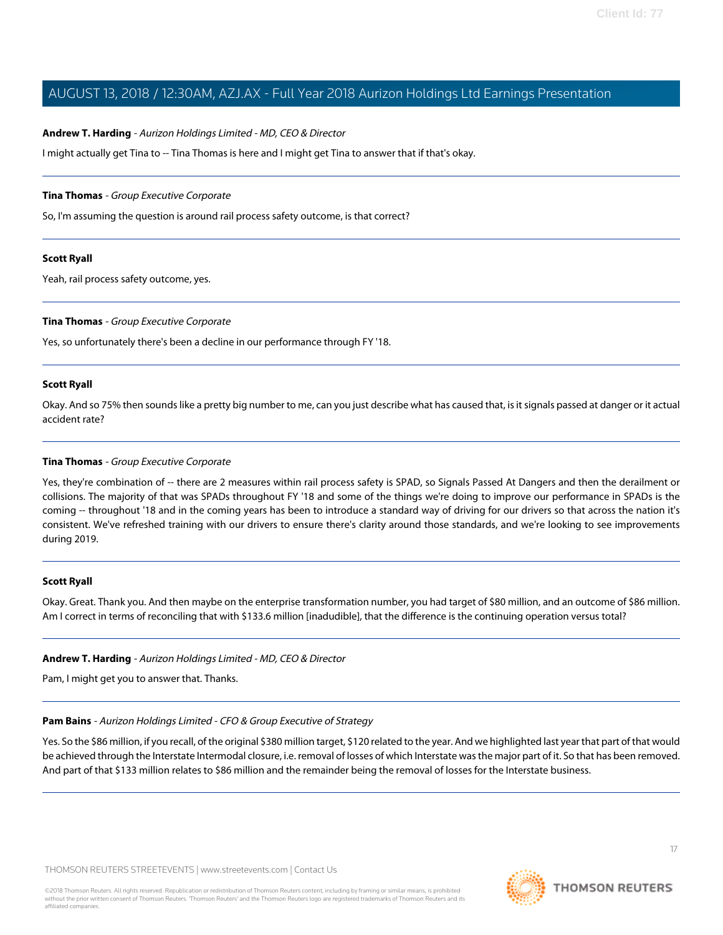### **Andrew T. Harding** - Aurizon Holdings Limited - MD, CEO & Director

I might actually get Tina to -- Tina Thomas is here and I might get Tina to answer that if that's okay.

#### <span id="page-16-0"></span>**Tina Thomas** - Group Executive Corporate

So, I'm assuming the question is around rail process safety outcome, is that correct?

#### **Scott Ryall**

Yeah, rail process safety outcome, yes.

#### **Tina Thomas** - Group Executive Corporate

Yes, so unfortunately there's been a decline in our performance through FY '18.

#### **Scott Ryall**

Okay. And so 75% then sounds like a pretty big number to me, can you just describe what has caused that, is it signals passed at danger or it actual accident rate?

#### **Tina Thomas** - Group Executive Corporate

Yes, they're combination of -- there are 2 measures within rail process safety is SPAD, so Signals Passed At Dangers and then the derailment or collisions. The majority of that was SPADs throughout FY '18 and some of the things we're doing to improve our performance in SPADs is the coming -- throughout '18 and in the coming years has been to introduce a standard way of driving for our drivers so that across the nation it's consistent. We've refreshed training with our drivers to ensure there's clarity around those standards, and we're looking to see improvements during 2019.

#### **Scott Ryall**

Okay. Great. Thank you. And then maybe on the enterprise transformation number, you had target of \$80 million, and an outcome of \$86 million. Am I correct in terms of reconciling that with \$133.6 million [inadudible], that the difference is the continuing operation versus total?

### **Andrew T. Harding** - Aurizon Holdings Limited - MD, CEO & Director

Pam, I might get you to answer that. Thanks.

#### **Pam Bains** - Aurizon Holdings Limited - CFO & Group Executive of Strategy

Yes. So the \$86 million, if you recall, of the original \$380 million target, \$120 related to the year. And we highlighted last year that part of that would be achieved through the Interstate Intermodal closure, i.e. removal of losses of which Interstate was the major part of it. So that has been removed. And part of that \$133 million relates to \$86 million and the remainder being the removal of losses for the Interstate business.

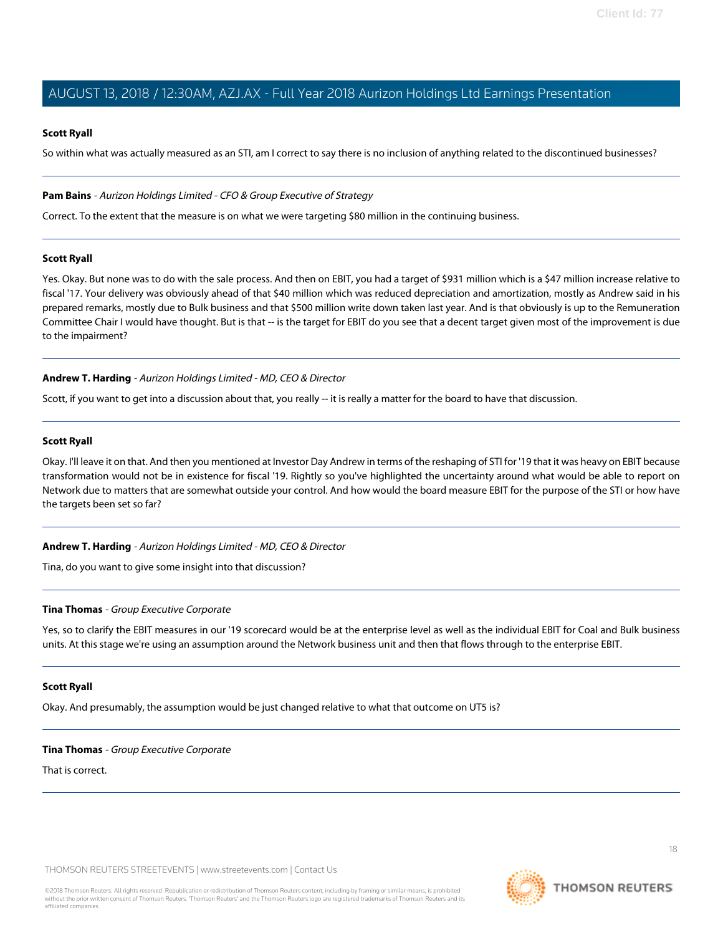### **Scott Ryall**

So within what was actually measured as an STI, am I correct to say there is no inclusion of anything related to the discontinued businesses?

### **Pam Bains** - Aurizon Holdings Limited - CFO & Group Executive of Strategy

Correct. To the extent that the measure is on what we were targeting \$80 million in the continuing business.

### **Scott Ryall**

Yes. Okay. But none was to do with the sale process. And then on EBIT, you had a target of \$931 million which is a \$47 million increase relative to fiscal '17. Your delivery was obviously ahead of that \$40 million which was reduced depreciation and amortization, mostly as Andrew said in his prepared remarks, mostly due to Bulk business and that \$500 million write down taken last year. And is that obviously is up to the Remuneration Committee Chair I would have thought. But is that -- is the target for EBIT do you see that a decent target given most of the improvement is due to the impairment?

### **Andrew T. Harding** - Aurizon Holdings Limited - MD, CEO & Director

Scott, if you want to get into a discussion about that, you really -- it is really a matter for the board to have that discussion.

### **Scott Ryall**

Okay. I'll leave it on that. And then you mentioned at Investor Day Andrew in terms of the reshaping of STI for '19 that it was heavy on EBIT because transformation would not be in existence for fiscal '19. Rightly so you've highlighted the uncertainty around what would be able to report on Network due to matters that are somewhat outside your control. And how would the board measure EBIT for the purpose of the STI or how have the targets been set so far?

### **Andrew T. Harding** - Aurizon Holdings Limited - MD, CEO & Director

Tina, do you want to give some insight into that discussion?

### **Tina Thomas** - Group Executive Corporate

Yes, so to clarify the EBIT measures in our '19 scorecard would be at the enterprise level as well as the individual EBIT for Coal and Bulk business units. At this stage we're using an assumption around the Network business unit and then that flows through to the enterprise EBIT.

#### **Scott Ryall**

Okay. And presumably, the assumption would be just changed relative to what that outcome on UT5 is?

### **Tina Thomas** - Group Executive Corporate

That is correct.

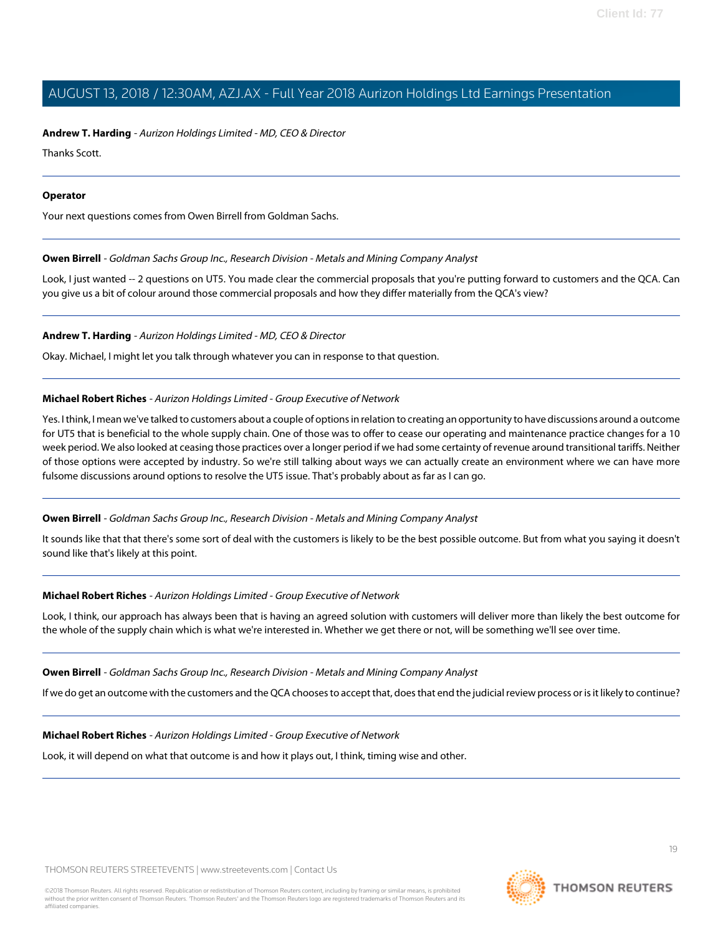**Andrew T. Harding** - Aurizon Holdings Limited - MD, CEO & Director

Thanks Scott.

### **Operator**

<span id="page-18-0"></span>Your next questions comes from Owen Birrell from Goldman Sachs.

### **Owen Birrell** - Goldman Sachs Group Inc., Research Division - Metals and Mining Company Analyst

Look, I just wanted -- 2 questions on UT5. You made clear the commercial proposals that you're putting forward to customers and the QCA. Can you give us a bit of colour around those commercial proposals and how they differ materially from the QCA's view?

**Andrew T. Harding** - Aurizon Holdings Limited - MD, CEO & Director

Okay. Michael, I might let you talk through whatever you can in response to that question.

### **Michael Robert Riches** - Aurizon Holdings Limited - Group Executive of Network

Yes. I think, I mean we've talked to customers about a couple of options in relation to creating an opportunity to have discussions around a outcome for UT5 that is beneficial to the whole supply chain. One of those was to offer to cease our operating and maintenance practice changes for a 10 week period. We also looked at ceasing those practices over a longer period if we had some certainty of revenue around transitional tariffs. Neither of those options were accepted by industry. So we're still talking about ways we can actually create an environment where we can have more fulsome discussions around options to resolve the UT5 issue. That's probably about as far as I can go.

### **Owen Birrell** - Goldman Sachs Group Inc., Research Division - Metals and Mining Company Analyst

It sounds like that that there's some sort of deal with the customers is likely to be the best possible outcome. But from what you saying it doesn't sound like that's likely at this point.

### **Michael Robert Riches** - Aurizon Holdings Limited - Group Executive of Network

Look, I think, our approach has always been that is having an agreed solution with customers will deliver more than likely the best outcome for the whole of the supply chain which is what we're interested in. Whether we get there or not, will be something we'll see over time.

### **Owen Birrell** - Goldman Sachs Group Inc., Research Division - Metals and Mining Company Analyst

If we do get an outcome with the customers and the QCA chooses to accept that, does that end the judicial review process or is it likely to continue?

### **Michael Robert Riches** - Aurizon Holdings Limited - Group Executive of Network

Look, it will depend on what that outcome is and how it plays out, I think, timing wise and other.

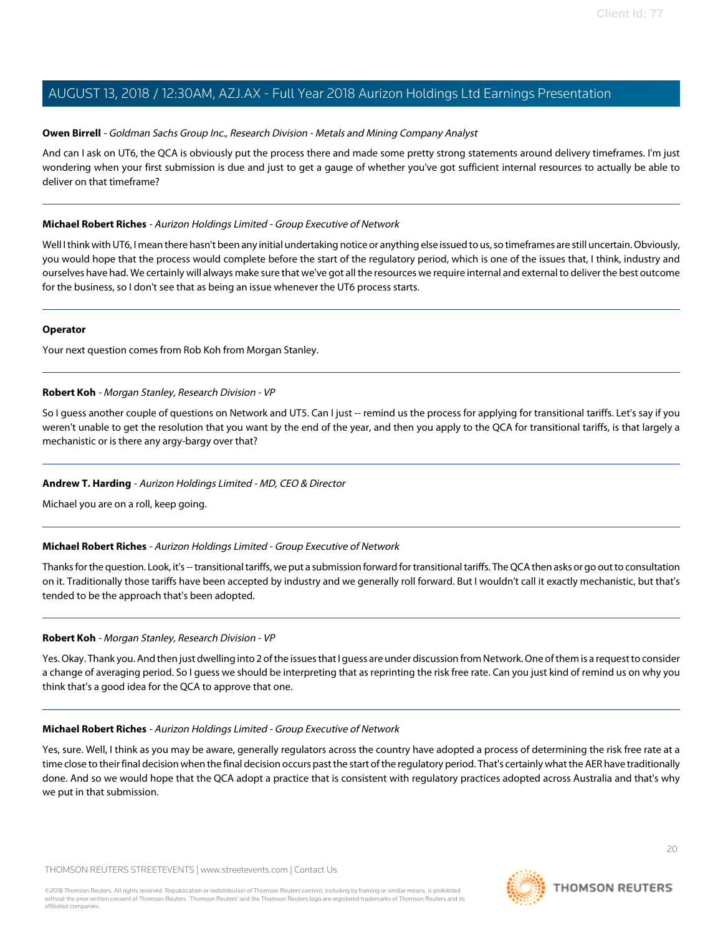### **Owen Birrell** - Goldman Sachs Group Inc., Research Division - Metals and Mining Company Analyst

And can I ask on UT6, the QCA is obviously put the process there and made some pretty strong statements around delivery timeframes. I'm just wondering when your first submission is due and just to get a gauge of whether you've got sufficient internal resources to actually be able to deliver on that timeframe?

### **Michael Robert Riches** - Aurizon Holdings Limited - Group Executive of Network

Well I think with UT6, I mean there hasn't been any initial undertaking notice or anything else issued to us, so timeframes are still uncertain. Obviously, you would hope that the process would complete before the start of the regulatory period, which is one of the issues that, I think, industry and ourselves have had. We certainly will always make sure that we've got all the resources we require internal and external to deliver the best outcome for the business, so I don't see that as being an issue whenever the UT6 process starts.

### **Operator**

<span id="page-19-0"></span>Your next question comes from Rob Koh from Morgan Stanley.

### **Robert Koh** - Morgan Stanley, Research Division - VP

So I guess another couple of questions on Network and UT5. Can I just -- remind us the process for applying for transitional tariffs. Let's say if you weren't unable to get the resolution that you want by the end of the year, and then you apply to the QCA for transitional tariffs, is that largely a mechanistic or is there any argy-bargy over that?

### **Andrew T. Harding** - Aurizon Holdings Limited - MD, CEO & Director

Michael you are on a roll, keep going.

### **Michael Robert Riches** - Aurizon Holdings Limited - Group Executive of Network

Thanks for the question. Look, it's -- transitional tariffs, we put a submission forward for transitional tariffs. The QCA then asks or go out to consultation on it. Traditionally those tariffs have been accepted by industry and we generally roll forward. But I wouldn't call it exactly mechanistic, but that's tended to be the approach that's been adopted.

### **Robert Koh** - Morgan Stanley, Research Division - VP

Yes. Okay. Thank you. And then just dwelling into 2 of the issues that I guess are under discussion from Network. One of them is a request to consider a change of averaging period. So I guess we should be interpreting that as reprinting the risk free rate. Can you just kind of remind us on why you think that's a good idea for the QCA to approve that one.

#### **Michael Robert Riches** - Aurizon Holdings Limited - Group Executive of Network

Yes, sure. Well, I think as you may be aware, generally regulators across the country have adopted a process of determining the risk free rate at a time close to their final decision when the final decision occurs past the start of the regulatory period. That's certainly what the AER have traditionally done. And so we would hope that the QCA adopt a practice that is consistent with regulatory practices adopted across Australia and that's why we put in that submission.

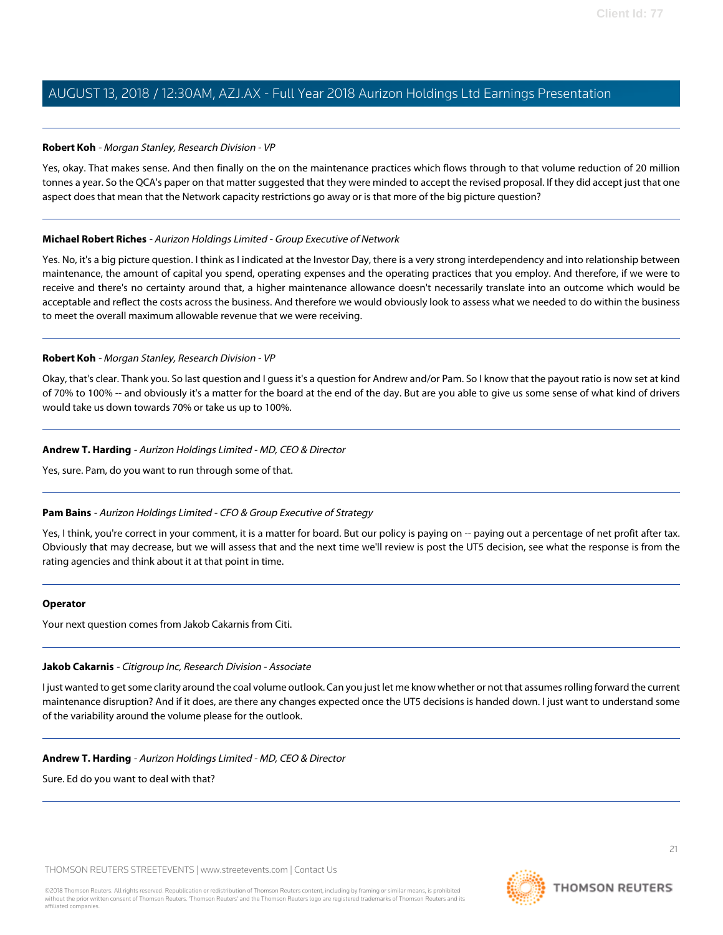### **Robert Koh** - Morgan Stanley, Research Division - VP

Yes, okay. That makes sense. And then finally on the on the maintenance practices which flows through to that volume reduction of 20 million tonnes a year. So the QCA's paper on that matter suggested that they were minded to accept the revised proposal. If they did accept just that one aspect does that mean that the Network capacity restrictions go away or is that more of the big picture question?

### **Michael Robert Riches** - Aurizon Holdings Limited - Group Executive of Network

Yes. No, it's a big picture question. I think as I indicated at the Investor Day, there is a very strong interdependency and into relationship between maintenance, the amount of capital you spend, operating expenses and the operating practices that you employ. And therefore, if we were to receive and there's no certainty around that, a higher maintenance allowance doesn't necessarily translate into an outcome which would be acceptable and reflect the costs across the business. And therefore we would obviously look to assess what we needed to do within the business to meet the overall maximum allowable revenue that we were receiving.

### **Robert Koh** - Morgan Stanley, Research Division - VP

Okay, that's clear. Thank you. So last question and I guess it's a question for Andrew and/or Pam. So I know that the payout ratio is now set at kind of 70% to 100% -- and obviously it's a matter for the board at the end of the day. But are you able to give us some sense of what kind of drivers would take us down towards 70% or take us up to 100%.

### **Andrew T. Harding** - Aurizon Holdings Limited - MD, CEO & Director

Yes, sure. Pam, do you want to run through some of that.

### **Pam Bains** - Aurizon Holdings Limited - CFO & Group Executive of Strategy

Yes, I think, you're correct in your comment, it is a matter for board. But our policy is paying on -- paying out a percentage of net profit after tax. Obviously that may decrease, but we will assess that and the next time we'll review is post the UT5 decision, see what the response is from the rating agencies and think about it at that point in time.

### <span id="page-20-0"></span>**Operator**

Your next question comes from Jakob Cakarnis from Citi.

### **Jakob Cakarnis** - Citigroup Inc, Research Division - Associate

I just wanted to get some clarity around the coal volume outlook. Can you just let me know whether or not that assumes rolling forward the current maintenance disruption? And if it does, are there any changes expected once the UT5 decisions is handed down. I just want to understand some of the variability around the volume please for the outlook.

#### **Andrew T. Harding** - Aurizon Holdings Limited - MD, CEO & Director

Sure. Ed do you want to deal with that?

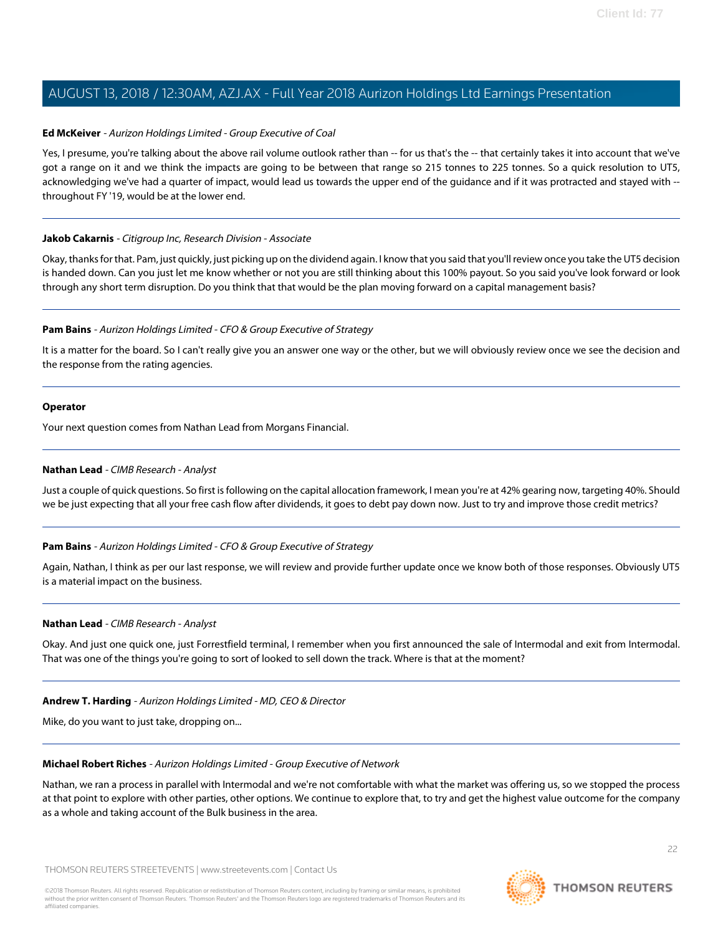### **Ed McKeiver** - Aurizon Holdings Limited - Group Executive of Coal

Yes, I presume, you're talking about the above rail volume outlook rather than -- for us that's the -- that certainly takes it into account that we've got a range on it and we think the impacts are going to be between that range so 215 tonnes to 225 tonnes. So a quick resolution to UT5, acknowledging we've had a quarter of impact, would lead us towards the upper end of the guidance and if it was protracted and stayed with - throughout FY '19, would be at the lower end.

### **Jakob Cakarnis** - Citigroup Inc, Research Division - Associate

Okay, thanks for that. Pam, just quickly, just picking up on the dividend again. I know that you said that you'll review once you take the UT5 decision is handed down. Can you just let me know whether or not you are still thinking about this 100% payout. So you said you've look forward or look through any short term disruption. Do you think that that would be the plan moving forward on a capital management basis?

### **Pam Bains** - Aurizon Holdings Limited - CFO & Group Executive of Strategy

It is a matter for the board. So I can't really give you an answer one way or the other, but we will obviously review once we see the decision and the response from the rating agencies.

#### **Operator**

<span id="page-21-0"></span>Your next question comes from Nathan Lead from Morgans Financial.

### **Nathan Lead** - CIMB Research - Analyst

Just a couple of quick questions. So first is following on the capital allocation framework, I mean you're at 42% gearing now, targeting 40%. Should we be just expecting that all your free cash flow after dividends, it goes to debt pay down now. Just to try and improve those credit metrics?

### **Pam Bains** - Aurizon Holdings Limited - CFO & Group Executive of Strategy

Again, Nathan, I think as per our last response, we will review and provide further update once we know both of those responses. Obviously UT5 is a material impact on the business.

#### **Nathan Lead** - CIMB Research - Analyst

Okay. And just one quick one, just Forrestfield terminal, I remember when you first announced the sale of Intermodal and exit from Intermodal. That was one of the things you're going to sort of looked to sell down the track. Where is that at the moment?

#### **Andrew T. Harding** - Aurizon Holdings Limited - MD, CEO & Director

Mike, do you want to just take, dropping on...

#### **Michael Robert Riches** - Aurizon Holdings Limited - Group Executive of Network

Nathan, we ran a process in parallel with Intermodal and we're not comfortable with what the market was offering us, so we stopped the process at that point to explore with other parties, other options. We continue to explore that, to try and get the highest value outcome for the company as a whole and taking account of the Bulk business in the area.